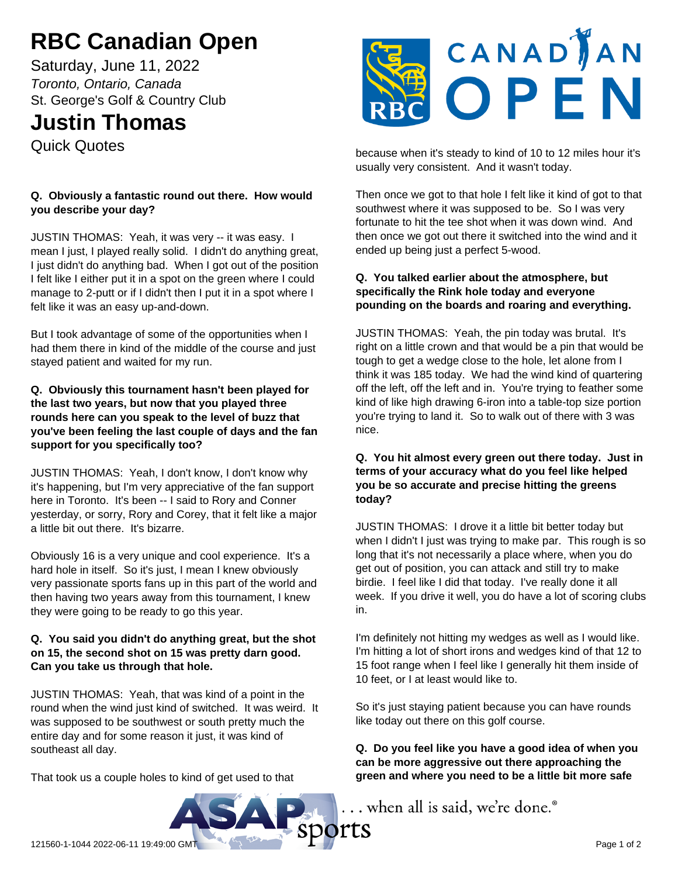# **RBC Canadian Open**

Saturday, June 11, 2022 *Toronto, Ontario, Canada* St. George's Golf & Country Club

# **Justin Thomas**

Quick Quotes

## **Q. Obviously a fantastic round out there. How would you describe your day?**

JUSTIN THOMAS: Yeah, it was very -- it was easy. I mean I just, I played really solid. I didn't do anything great, I just didn't do anything bad. When I got out of the position I felt like I either put it in a spot on the green where I could manage to 2-putt or if I didn't then I put it in a spot where I felt like it was an easy up-and-down.

But I took advantage of some of the opportunities when I had them there in kind of the middle of the course and just stayed patient and waited for my run.

#### **Q. Obviously this tournament hasn't been played for the last two years, but now that you played three rounds here can you speak to the level of buzz that you've been feeling the last couple of days and the fan support for you specifically too?**

JUSTIN THOMAS: Yeah, I don't know, I don't know why it's happening, but I'm very appreciative of the fan support here in Toronto. It's been -- I said to Rory and Conner yesterday, or sorry, Rory and Corey, that it felt like a major a little bit out there. It's bizarre.

Obviously 16 is a very unique and cool experience. It's a hard hole in itself. So it's just, I mean I knew obviously very passionate sports fans up in this part of the world and then having two years away from this tournament, I knew they were going to be ready to go this year.

#### **Q. You said you didn't do anything great, but the shot on 15, the second shot on 15 was pretty darn good. Can you take us through that hole.**

JUSTIN THOMAS: Yeah, that was kind of a point in the round when the wind just kind of switched. It was weird. It was supposed to be southwest or south pretty much the entire day and for some reason it just, it was kind of southeast all day.

That took us a couple holes to kind of get used to that



because when it's steady to kind of 10 to 12 miles hour it's usually very consistent. And it wasn't today.

Then once we got to that hole I felt like it kind of got to that southwest where it was supposed to be. So I was very fortunate to hit the tee shot when it was down wind. And then once we got out there it switched into the wind and it ended up being just a perfect 5-wood.

#### **Q. You talked earlier about the atmosphere, but specifically the Rink hole today and everyone pounding on the boards and roaring and everything.**

JUSTIN THOMAS: Yeah, the pin today was brutal. It's right on a little crown and that would be a pin that would be tough to get a wedge close to the hole, let alone from I think it was 185 today. We had the wind kind of quartering off the left, off the left and in. You're trying to feather some kind of like high drawing 6-iron into a table-top size portion you're trying to land it. So to walk out of there with 3 was nice.

### **Q. You hit almost every green out there today. Just in terms of your accuracy what do you feel like helped you be so accurate and precise hitting the greens today?**

JUSTIN THOMAS: I drove it a little bit better today but when I didn't I just was trying to make par. This rough is so long that it's not necessarily a place where, when you do get out of position, you can attack and still try to make birdie. I feel like I did that today. I've really done it all week. If you drive it well, you do have a lot of scoring clubs in.

I'm definitely not hitting my wedges as well as I would like. I'm hitting a lot of short irons and wedges kind of that 12 to 15 foot range when I feel like I generally hit them inside of 10 feet, or I at least would like to.

So it's just staying patient because you can have rounds like today out there on this golf course.

**Q. Do you feel like you have a good idea of when you can be more aggressive out there approaching the green and where you need to be a little bit more safe**

... when all is said, we're done.<sup>®</sup>